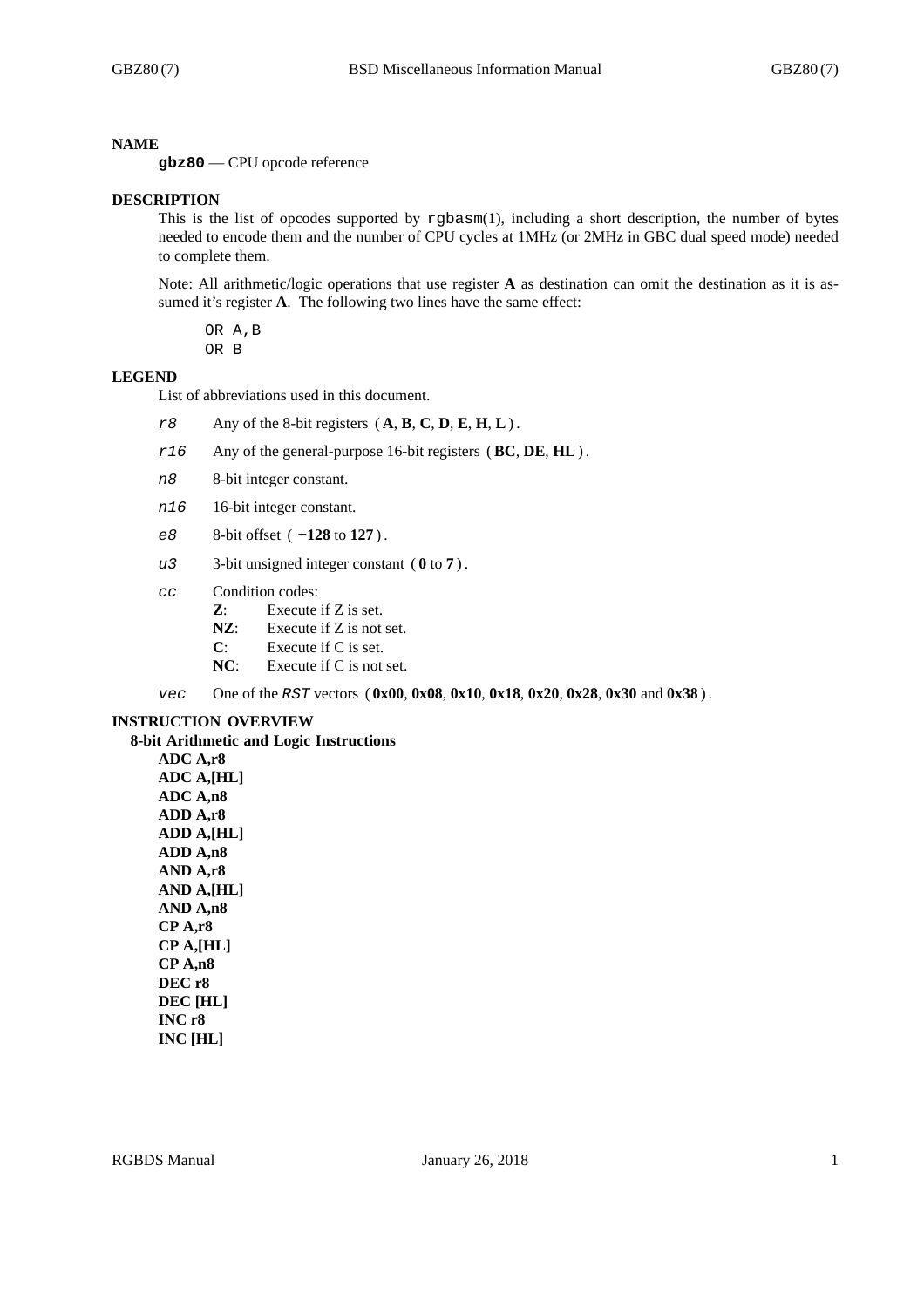#### **NAME**

**gbz80** — CPU opcode reference

#### **DESCRIPTION**

This is the list of opcodes supported by rgbasm(1), including a short description, the number of bytes needed to encode them and the number of CPU cycles at 1MHz (or 2MHz in GBC dual speed mode) needed to complete them.

Note: All arithmetic/logic operations that use register **A** as destination can omit the destination as it is assumed it's register **A**. The following two lines have the same effect:

OR A,B OR B

#### **LEGEND**

List of abbreviations used in this document.

- *r8* Any of the 8-bit registers ( **A**, **B**, **C**, **D**, **E**, **H**, **L**) .
- *r16* Any of the general-purpose 16-bit registers (**BC**, **DE**, **HL**) .
- *n8* 8-bit integer constant.
- *n16* 16-bit integer constant.
- *e8* 8-bit offset ( **-128** to **127** ) .
- *u3* 3-bit unsigned integer constant ( **0** to **7** ) .
- *cc* Condition codes:
	- **Z**: Execute if Z is set.
	- **NZ**: Execute if Z is not set.
	- **C**: Execute if C is set.
	- **NC**: Execute if C is not set.

*vec* One of the *RST* vectors ( **0x00**, **0x08**, **0x10**, **0x18**, **0x20**, **0x28**, **0x30** and **0x38** ) .

#### **INSTRUCTION OVERVIEW**

**8-bit Arithmetic and Logic Instructions ADC A,r8 ADC A,[HL] ADC A,n8 ADD A,r8 ADD A,[HL] ADD A,n8 AND A,r8 AND A,[HL] AND A,n8 CP A,r8 CP A,[HL] CP A,n8 DEC r8**

**DEC [HL] INC r8 INC [HL]**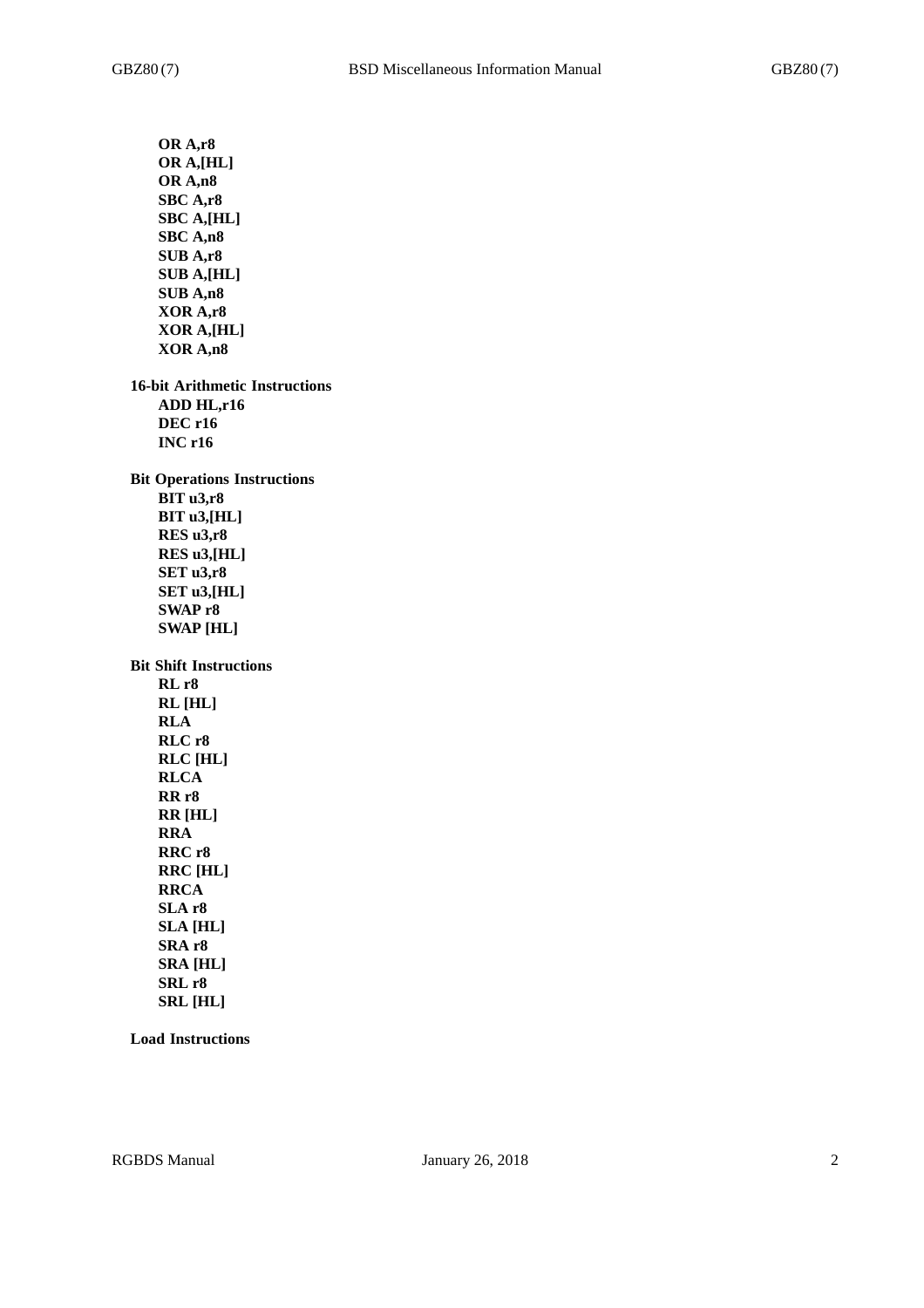**OR A,r8 OR A,[HL] OR A,n8 SBC A,r8 SBC A,[HL] SBC A,n8 SUB A,r8 SUB A,[HL] SUB A,n8 XOR A,r8 XOR A,[HL] XOR A,n8 16-bit Arithmetic Instructions ADD HL,r16 DEC r16 INC r16 Bit Operations Instructions BIT u3,r8 BIT u3,[HL] RES u3,r8 RES u3,[HL] SET u3,r8 SET u3,[HL] SWAP r8 SWAP [HL] Bit Shift Instructions RL r8 RL [HL] RLA RLC r8 RLC [HL] RLCA RR r8 RR [HL] RRA RRC r8 RRC [HL] RRCA SLA r8 SLA [HL] SRA r8 SRA [HL] SRL r8 SRL [HL]**

**Load Instructions**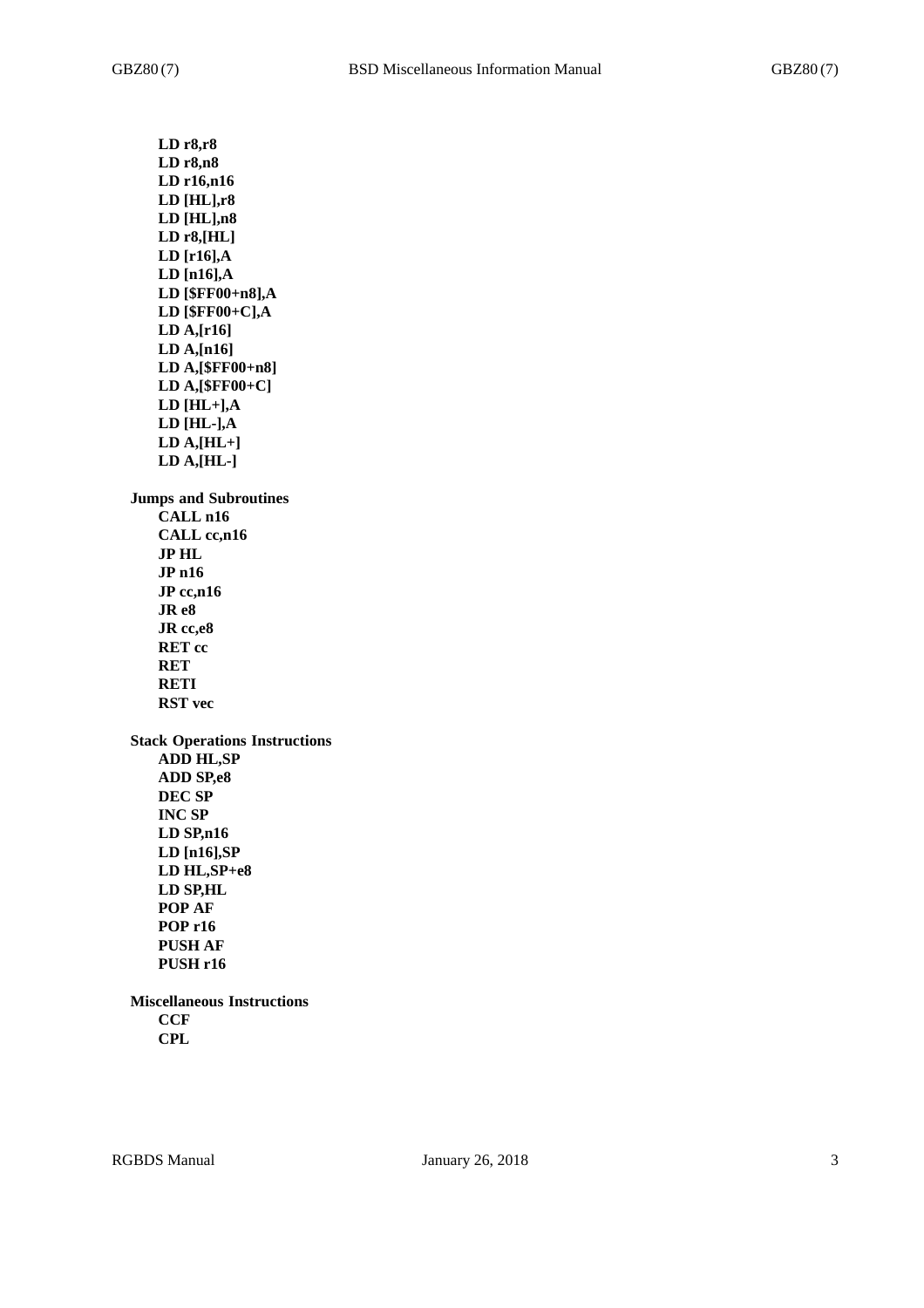**LD r8,r8 LD r8,n8 LD r16,n16 LD [HL],r8 LD [HL],n8 LD r8,[HL] LD [r16],A LD [n16],A LD [\$FF00+n8],A LD [\$FF00+C],A LD A,[r16] LD A,[n16] LD A,[\$FF00+n8] LD A,[\$FF00+C] LD [HL+],A LD [HL-],A LD A,[HL+] LD A,[HL-] Jumps and Subroutines CALL n16 CALL cc,n16 JP HL JP n16 JP cc,n16 JR e8 JR cc,e8 RET cc RET RETI RST vec Stack Operations Instructions ADD HL,SP ADD SP,e8 DEC SP INC SP LD SP,n16 LD [n16],SP LD HL,SP+e8 LD SP,HL POP AF POP r16 PUSH AF PUSH r16 Miscellaneous Instructions CCF**

**CPL**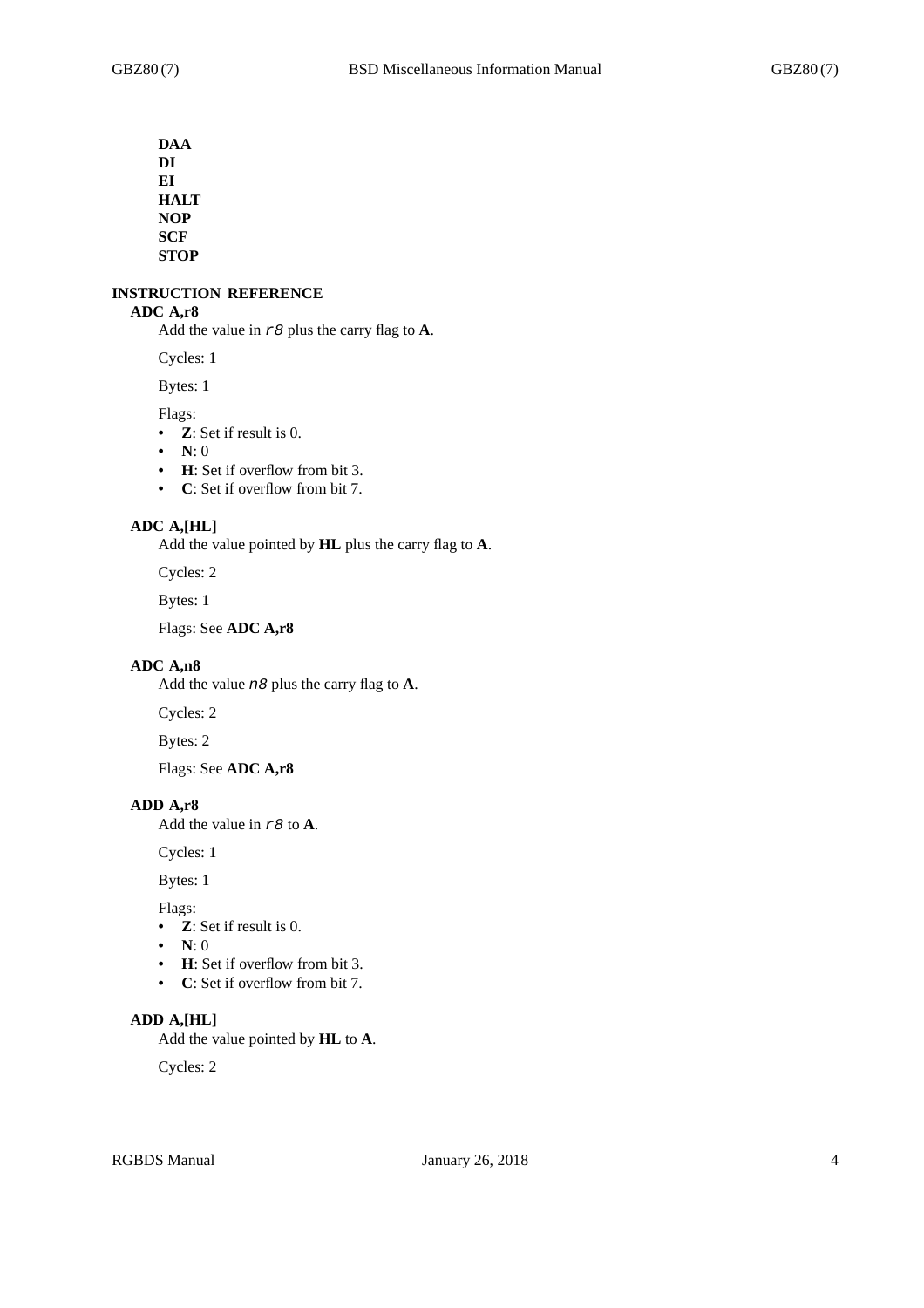**DAA DI EI HALT NOP SCF STOP**

#### **INSTRUCTION REFERENCE**

## **ADC A,r8**

Add the value in *r8* plus the carry flag to **A**.

Cycles: 1

Bytes: 1

Flags:

- **Z**: Set if result is 0.
- **N**: 0
- **H**: Set if overflow from bit 3.
- **C**: Set if overflow from bit 7.

## **ADC A,[HL]**

Add the value pointed by **HL** plus the carry flag to **A**.

Cycles: 2

Bytes: 1

Flags: See **ADC A,r8**

#### **ADC A,n8**

Add the value *n8* plus the carry flag to **A**.

Cycles: 2

Bytes: 2

Flags: See **ADC A,r8**

#### **ADD A,r8**

Add the value in *r8* to **A**.

Cycles: 1

Bytes: 1

Flags:

- **Z**: Set if result is 0.
- **N**: 0
- **H**: Set if overflow from bit 3.
- **C**: Set if overflow from bit 7.

## **ADD A,[HL]**

Add the value pointed by **HL** to **A**.

Cycles: 2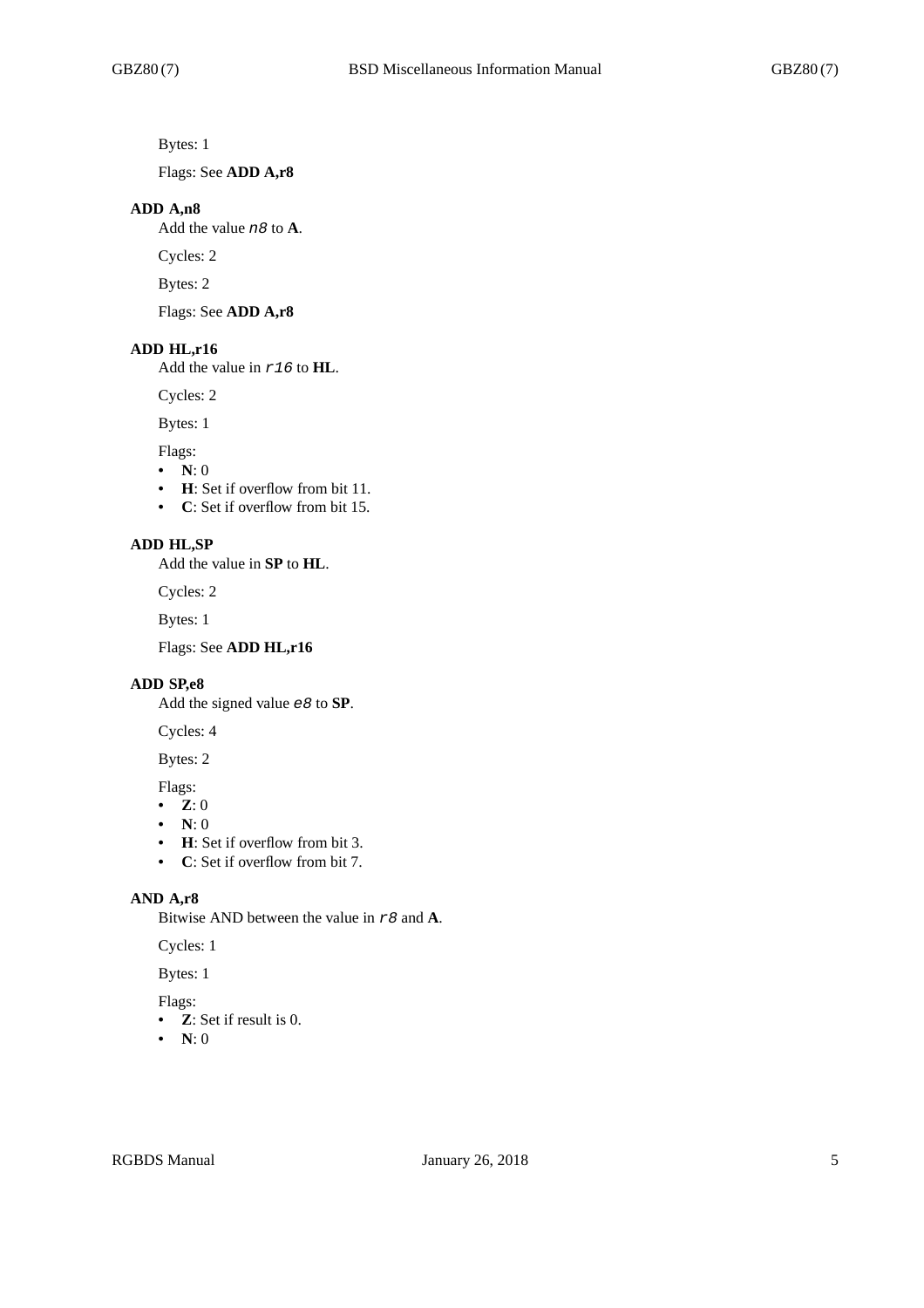Bytes: 1

Flags: See **ADD A,r8**

#### **ADD A,n8**

Add the value *n8* to **A**.

Cycles: 2

Bytes: 2

Flags: See **ADD A,r8**

## **ADD HL,r16**

Add the value in *r16* to **HL**.

Cycles: 2

Bytes: 1

Flags:

- $\bullet$  **N**: 0
- **H**: Set if overflow from bit 11.
- **C**: Set if overflow from bit 15.

## **ADD HL,SP**

Add the value in **SP** to **HL**.

Cycles: 2

Bytes: 1

Flags: See **ADD HL,r16**

#### **ADD SP,e8**

Add the signed value *e8* to **SP**.

Cycles: 4

# Bytes: 2

Flags:

- **Z**: 0
- **N**: 0
- **H**: Set if overflow from bit 3.
- **C**: Set if overflow from bit 7.

## **AND A,r8**

Bitwise AND between the value in *r8* and **A**.

Cycles: 1

Bytes: 1

## Flags:

- **Z**: Set if result is 0.
- **N**: 0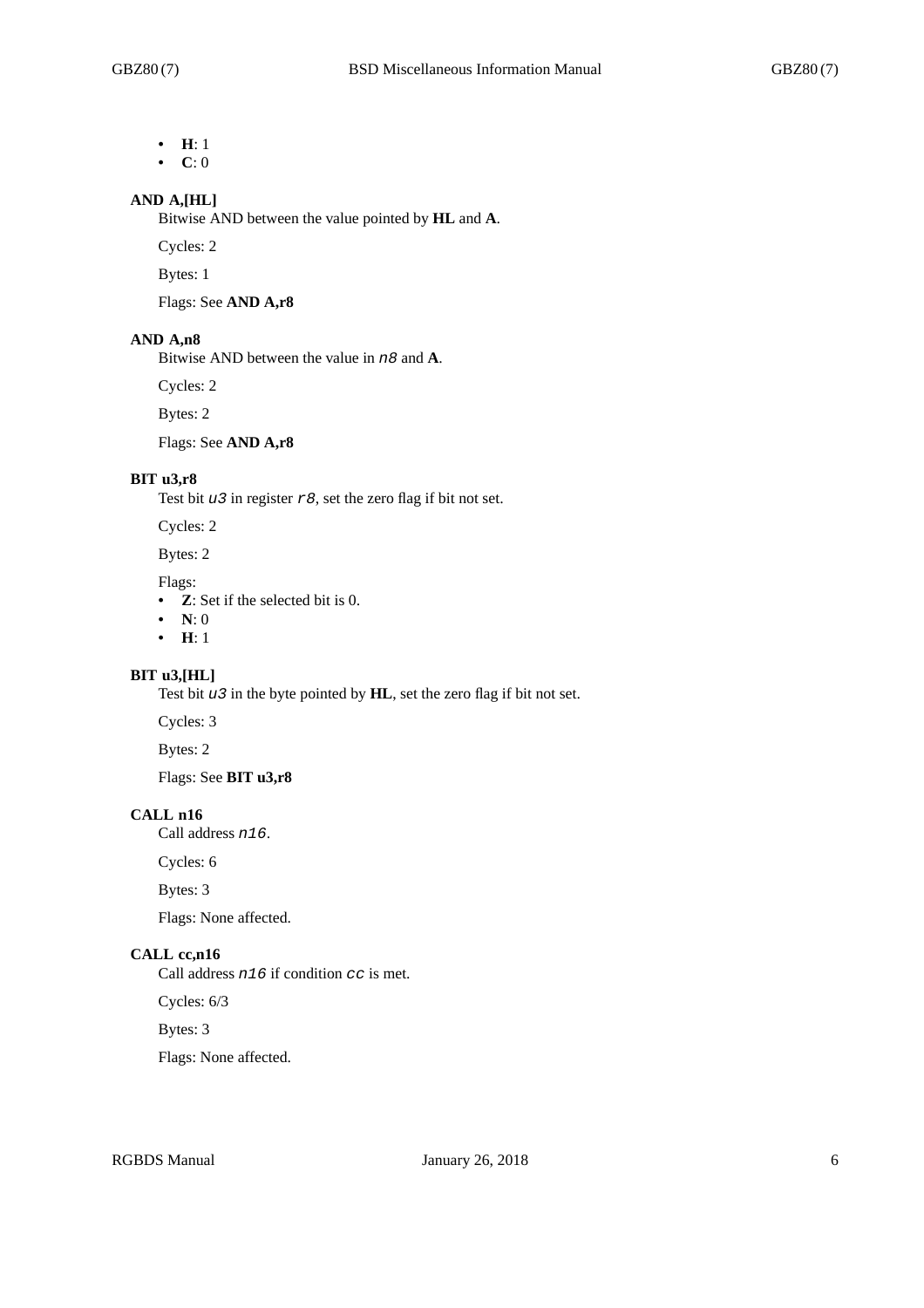- **H**: 1
- **C**: 0

# **AND A,[HL]**

Bitwise AND between the value pointed by **HL** and **A**.

Cycles: 2

Bytes: 1

Flags: See **AND A,r8**

#### **AND A,n8**

Bitwise AND between the value in *n8* and **A**.

Cycles: 2

Bytes: 2

Flags: See **AND A,r8**

## **BIT u3,r8**

Test bit *u3* in register *r8*, set the zero flag if bit not set.

Cycles: 2

Bytes: 2

Flags:

- **Z**: Set if the selected bit is 0.
- **N**: 0
- **H**: 1

# **BIT u3,[HL]**

Test bit *u3* in the byte pointed by **HL**, set the zero flag if bit not set.

Cycles: 3

Bytes: 2

Flags: See **BIT u3,r8**

# **CALL n16**

Call address *n16*.

Cycles: 6

Bytes: 3

Flags: None affected.

# **CALL cc,n16**

Call address *n16* if condition *cc* is met.

Cycles: 6/3

Bytes: 3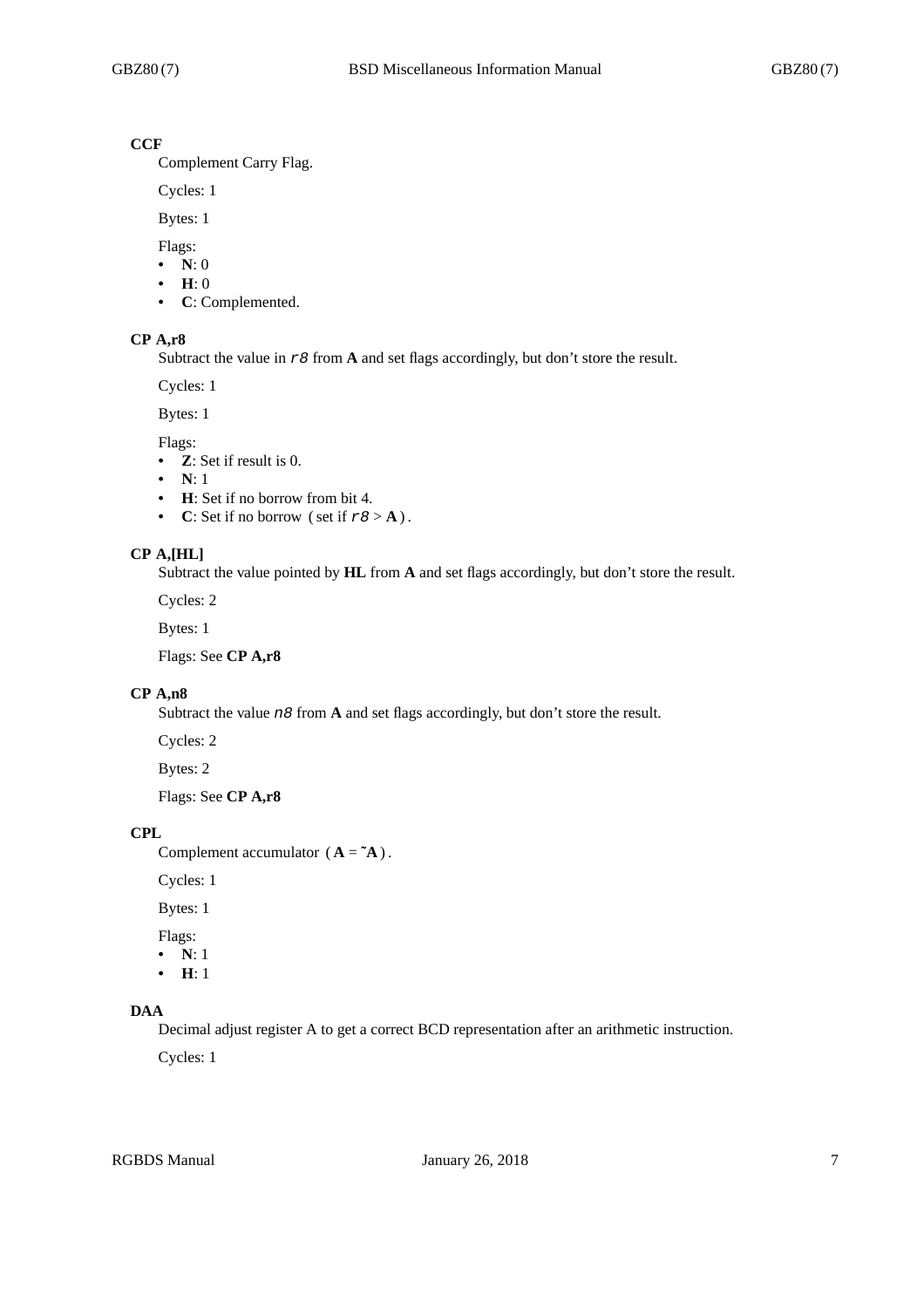# **CCF**

Complement Carry Flag.

Cycles: 1

Bytes: 1

Flags:

- **N**: 0
- **H**: 0
- **C**: Complemented.

## **CP A,r8**

Subtract the value in *r8* from **A** and set flags accordingly, but don't store the result.

Cycles: 1

Bytes: 1

Flags:

- **Z**: Set if result is 0.
- **N**: 1
- **H**: Set if no borrow from bit 4.
- **C**: Set if no borrow (set if  $r8 > A$ ).

#### **CP A,[HL]**

Subtract the value pointed by **HL** from **A** and set flags accordingly, but don't store the result.

Cycles: 2

Bytes: 1

Flags: See **CP A,r8**

## **CP A,n8**

Subtract the value *n8* from **A** and set flags accordingly, but don't store the result.

Cycles: 2

Bytes: 2

Flags: See **CP A,r8**

#### **CPL**

Complement accumulator  $(A = \mathbf{A})$ .

Cycles: 1

Bytes: 1

Flags:

**• N**: 1

**• H**: 1

# **DAA**

Decimal adjust register A to get a correct BCD representation after an arithmetic instruction.

Cycles: 1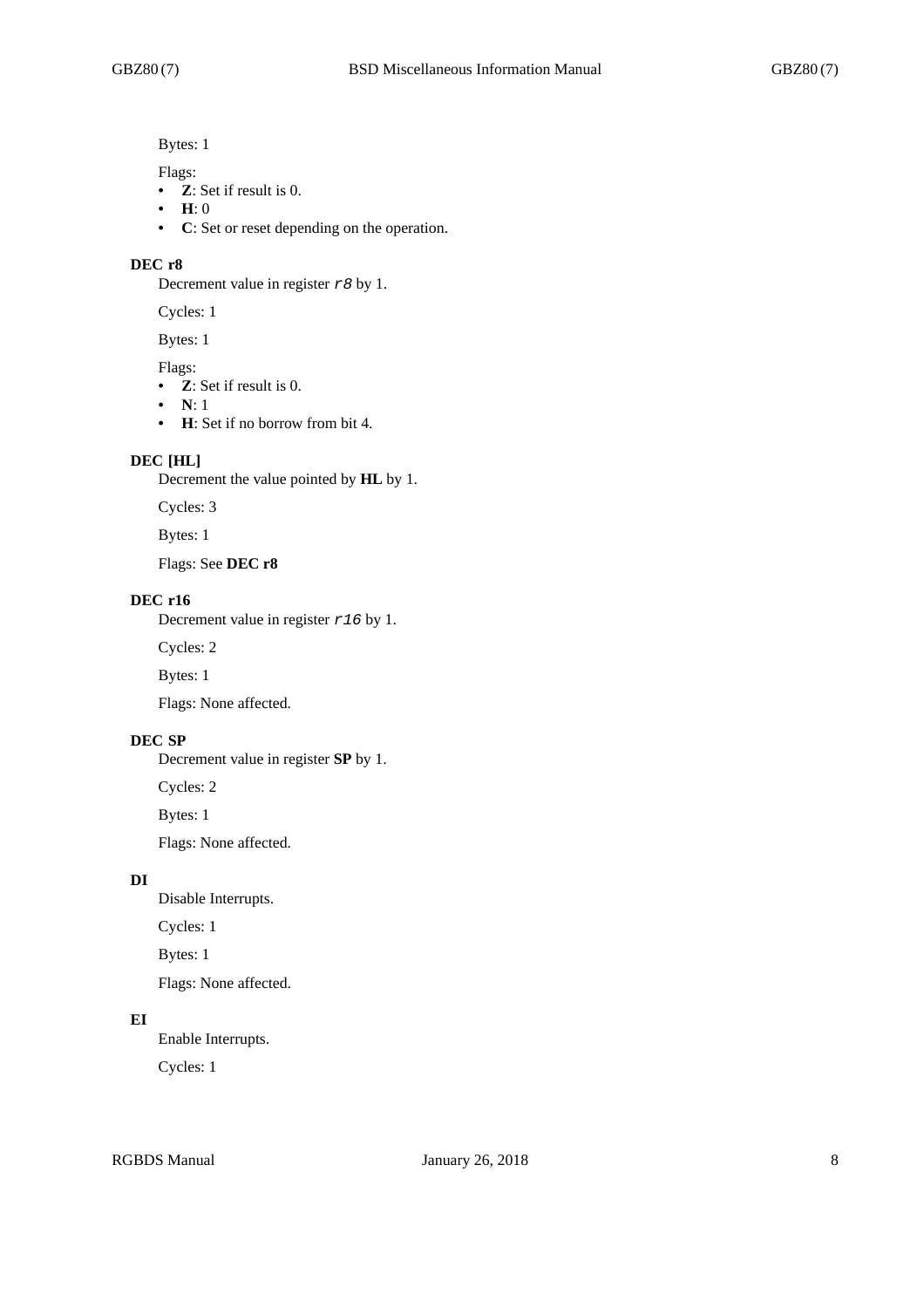Bytes: 1

Flags:

- **Z**: Set if result is 0.
- **H**: 0
- **C**: Set or reset depending on the operation.

#### **DEC r8**

Decrement value in register *r8* by 1.

Cycles: 1

Bytes: 1

Flags:

- **Z**: Set if result is 0.
- **N**: 1
- **H**: Set if no borrow from bit 4.

#### **DEC [HL]**

Decrement the value pointed by **HL** by 1.

Cycles: 3

Bytes: 1

Flags: See **DEC r8**

#### **DEC r16**

Decrement value in register *r16* by 1.

Cycles: 2

Bytes: 1

Flags: None affected.

# **DEC SP**

Decrement value in register **SP** by 1.

Cycles: 2

Bytes: 1

Flags: None affected.

## **DI**

Disable Interrupts.

Cycles: 1

Bytes: 1

Flags: None affected.

## **EI**

Enable Interrupts.

Cycles: 1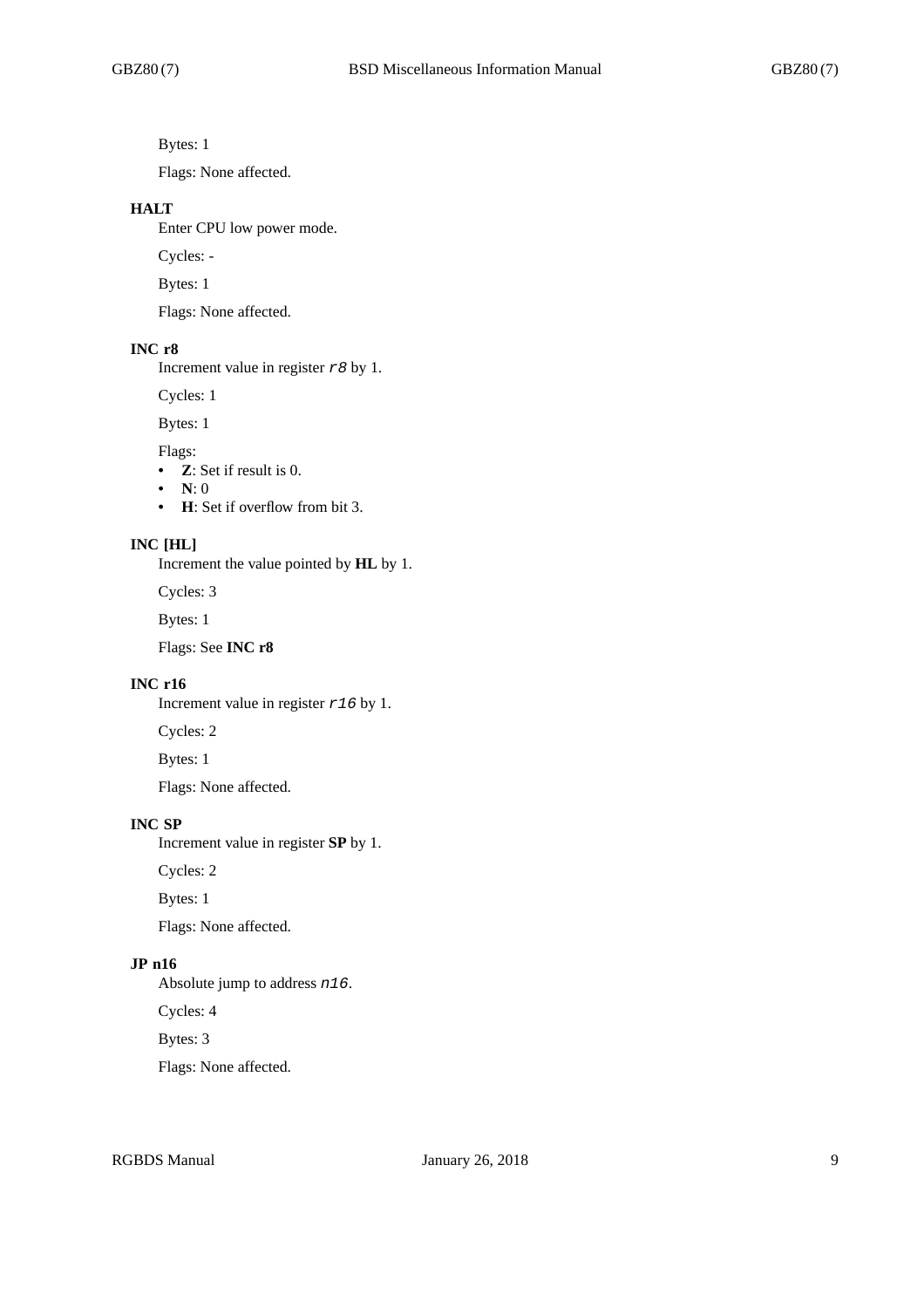Bytes: 1

Flags: None affected.

#### **HALT**

Enter CPU low power mode.

Cycles: -

Bytes: 1

Flags: None affected.

# **INC r8**

Increment value in register *r8* by 1.

Cycles: 1

Bytes: 1

Flags:

- **Z**: Set if result is 0.
- **N**: 0
- **H**: Set if overflow from bit 3.

#### **INC [HL]**

Increment the value pointed by **HL** by 1.

Cycles: 3

Bytes: 1

Flags: See **INC r8**

#### **INC r16**

Increment value in register *r16* by 1.

Cycles: 2

Bytes: 1

Flags: None affected.

## **INC SP**

Increment value in register **SP** by 1.

Cycles: 2

Bytes: 1

Flags: None affected.

# **JP n16**

Absolute jump to address *n16*.

Cycles: 4

Bytes: 3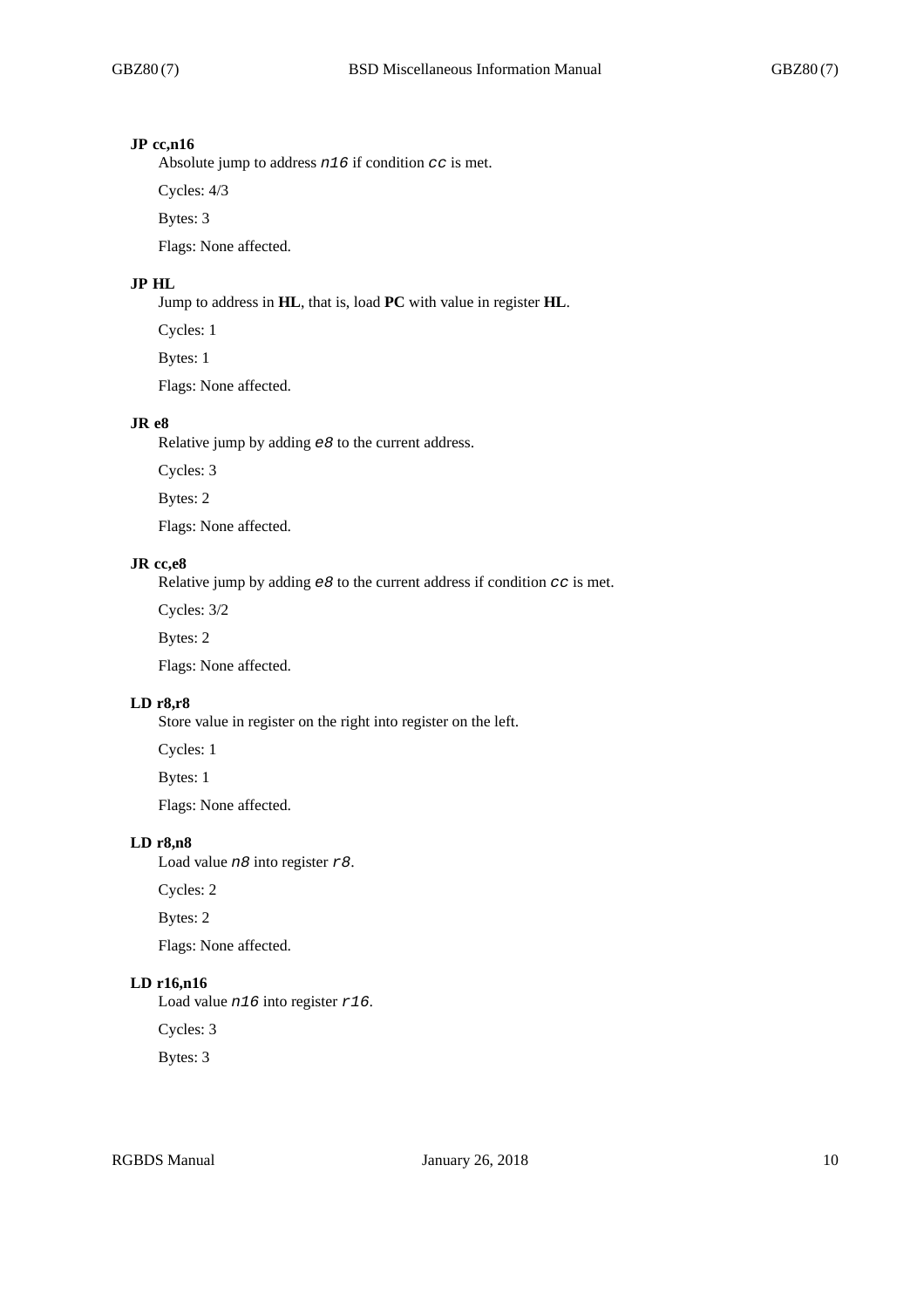#### **JP cc,n16**

Absolute jump to address *n16* if condition *cc* is met.

Cycles: 4/3

Bytes: 3

Flags: None affected.

# **JP HL**

Jump to address in **HL**, that is, load **PC** with value in register **HL**.

Cycles: 1

Bytes: 1

Flags: None affected.

#### **JR e8**

Relative jump by adding *e8* to the current address.

Cycles: 3

Bytes: 2

Flags: None affected.

#### **JR cc,e8**

Relative jump by adding *e8* to the current address if condition *cc* is met.

Cycles: 3/2

Bytes: 2

Flags: None affected.

#### **LD r8,r8**

Store value in register on the right into register on the left.

Cycles: 1

Bytes: 1

Flags: None affected.

# **LD r8,n8**

Load value *n8* into register *r8*.

Cycles: 2

Bytes: 2

Flags: None affected.

# **LD r16,n16**

Load value *n16* into register *r16*.

Cycles: 3

Bytes: 3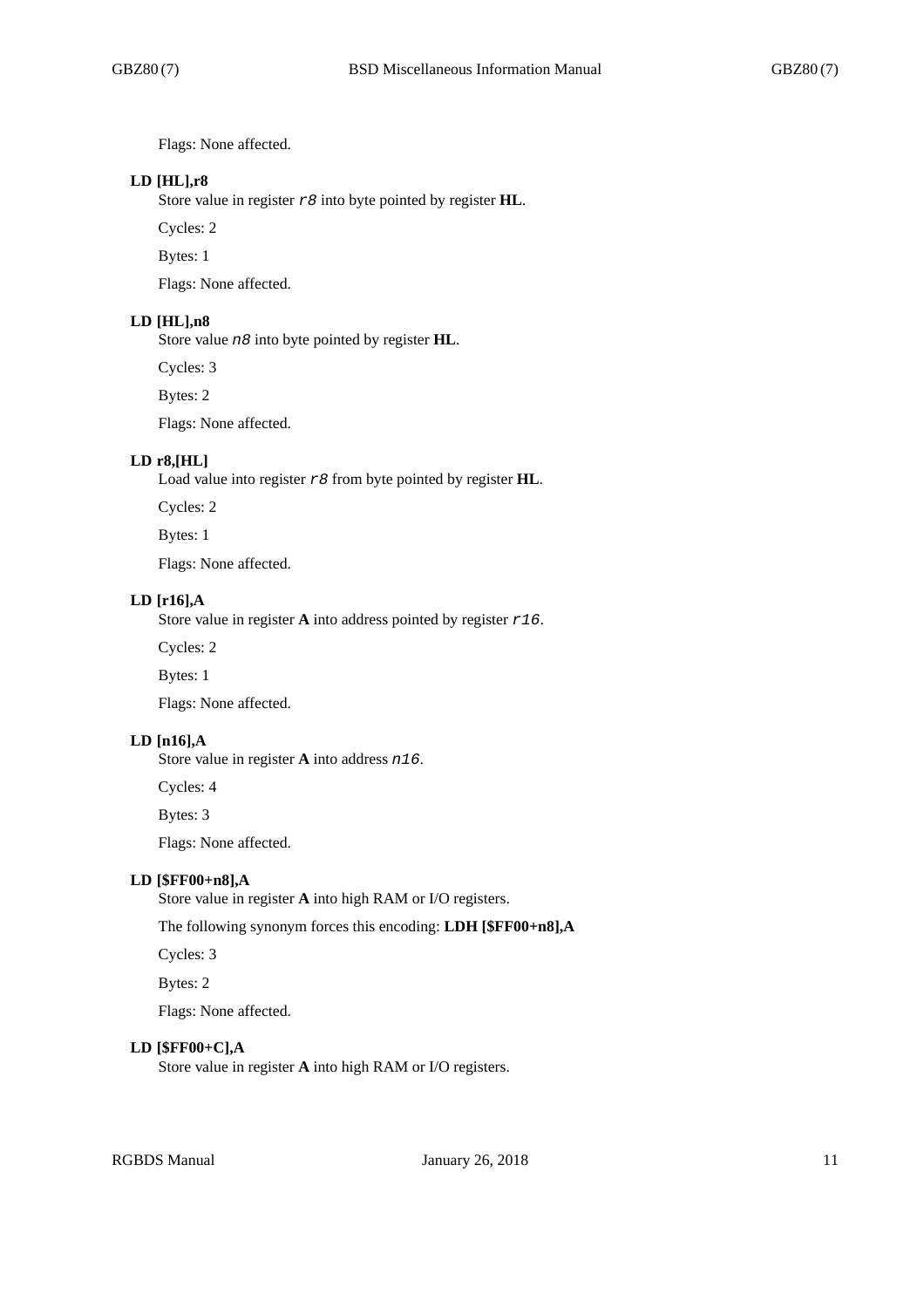Flags: None affected.

## **LD [HL],r8**

Store value in register *r8* into byte pointed by register **HL**.

Cycles: 2

Bytes: 1

Flags: None affected.

#### **LD [HL],n8**

Store value *n8* into byte pointed by register **HL**.

Cycles: 3

Bytes: 2

Flags: None affected.

## **LD r8,[HL]**

Load value into register *r8* from byte pointed by register **HL**.

Cycles: 2

Bytes: 1

Flags: None affected.

#### **LD [r16],A**

Store value in register **A** into address pointed by register *r16*.

Cycles: 2

Bytes: 1

Flags: None affected.

# **LD [n16],A**

Store value in register **A** into address *n16*.

Cycles: 4

Bytes: 3

Flags: None affected.

#### **LD [\$FF00+n8],A**

Store value in register **A** into high RAM or I/O registers.

The following synonym forces this encoding: **LDH [\$FF00+n8],A**

Cycles: 3

Bytes: 2

Flags: None affected.

#### **LD [\$FF00+C],A**

Store value in register **A** into high RAM or I/O registers.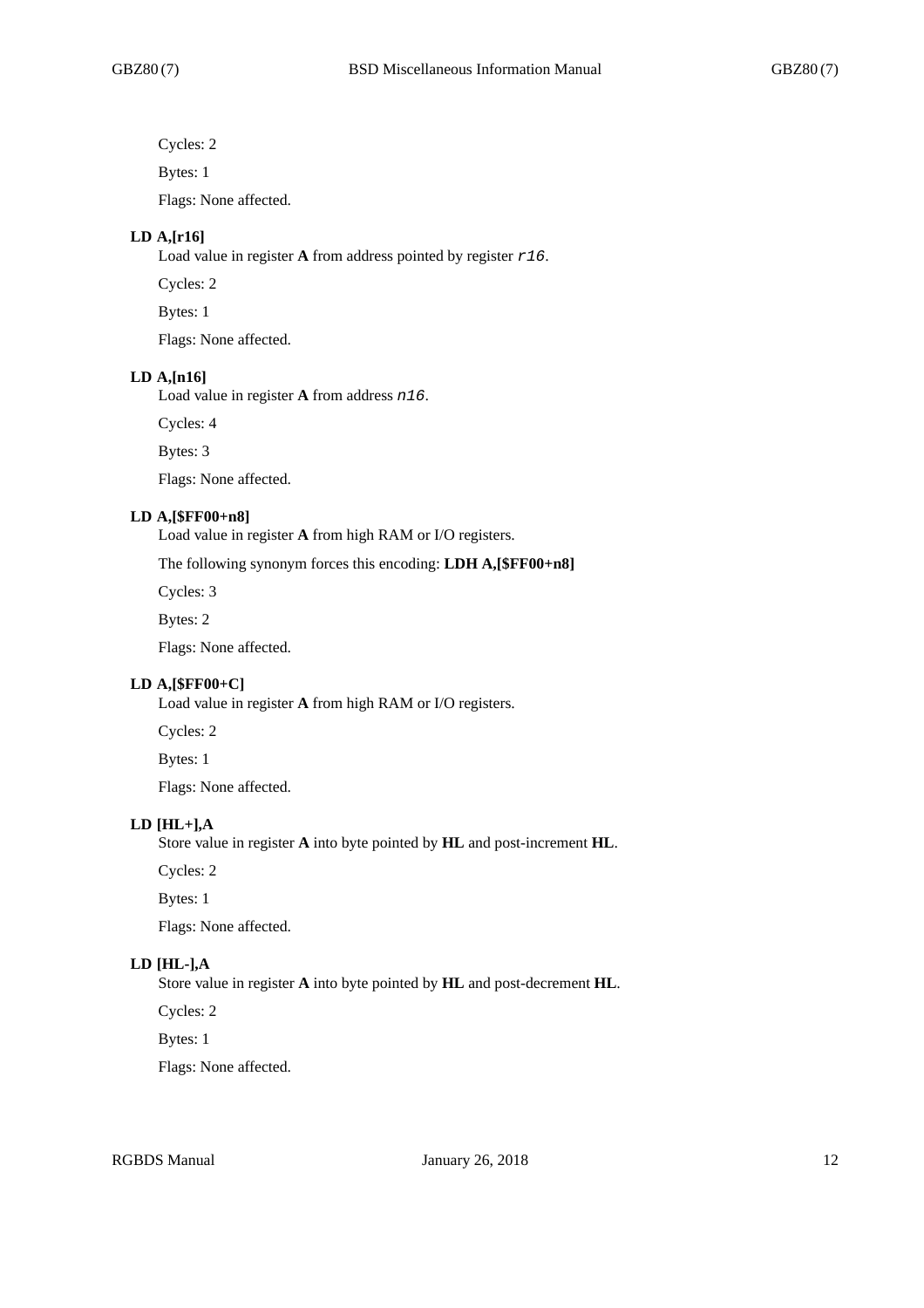Cycles: 2

Bytes: 1

Flags: None affected.

## **LD A,[r16]**

Load value in register **A** from address pointed by register *r16*.

Cycles: 2

Bytes: 1

Flags: None affected.

#### **LD A,[n16]**

Load value in register **A** from address *n16*.

Cycles: 4

Bytes: 3

Flags: None affected.

#### **LD A,[\$FF00+n8]**

Load value in register **A** from high RAM or I/O registers.

The following synonym forces this encoding: **LDH A,[\$FF00+n8]**

Cycles: 3

Bytes: 2

Flags: None affected.

#### **LD A,[\$FF00+C]**

Load value in register **A** from high RAM or I/O registers.

Cycles: 2

Bytes: 1

Flags: None affected.

## **LD [HL+],A**

Store value in register **A** into byte pointed by **HL** and post-increment **HL**.

Cycles: 2

Bytes: 1

Flags: None affected.

# **LD [HL-],A**

Store value in register **A** into byte pointed by **HL** and post-decrement **HL**.

Cycles: 2

Bytes: 1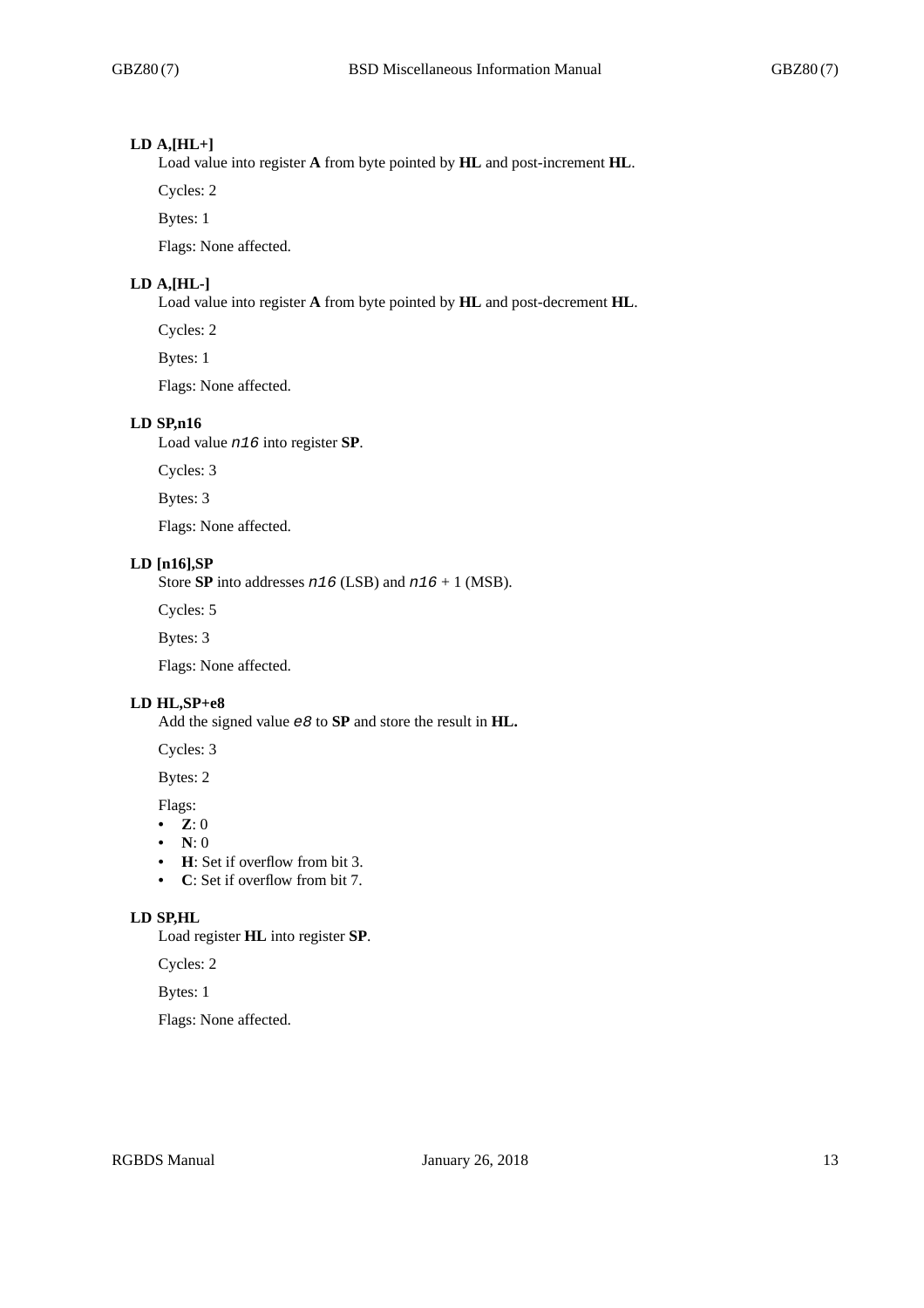#### **LD A,[HL+]**

Load value into register **A** from byte pointed by **HL** and post-increment **HL**.

Cycles: 2

Bytes: 1

Flags: None affected.

## **LD A,[HL-]**

Load value into register **A** from byte pointed by **HL** and post-decrement **HL**.

Cycles: 2

Bytes: 1

Flags: None affected.

#### **LD SP,n16**

Load value *n16* into register **SP**.

Cycles: 3

Bytes: 3

Flags: None affected.

## **LD [n16],SP**

Store **SP** into addresses *n16* (LSB) and *n16* + 1 (MSB).

Cycles: 5

Bytes: 3

Flags: None affected.

## **LD HL,SP+e8**

Add the signed value *e8* to **SP** and store the result in **HL.**

Cycles: 3

Bytes: 2

Flags:

- **Z**: 0
- **N**: 0
- **H**: Set if overflow from bit 3.
- **C**: Set if overflow from bit 7.

# **LD SP,HL**

Load register **HL** into register **SP**.

Cycles: 2

Bytes: 1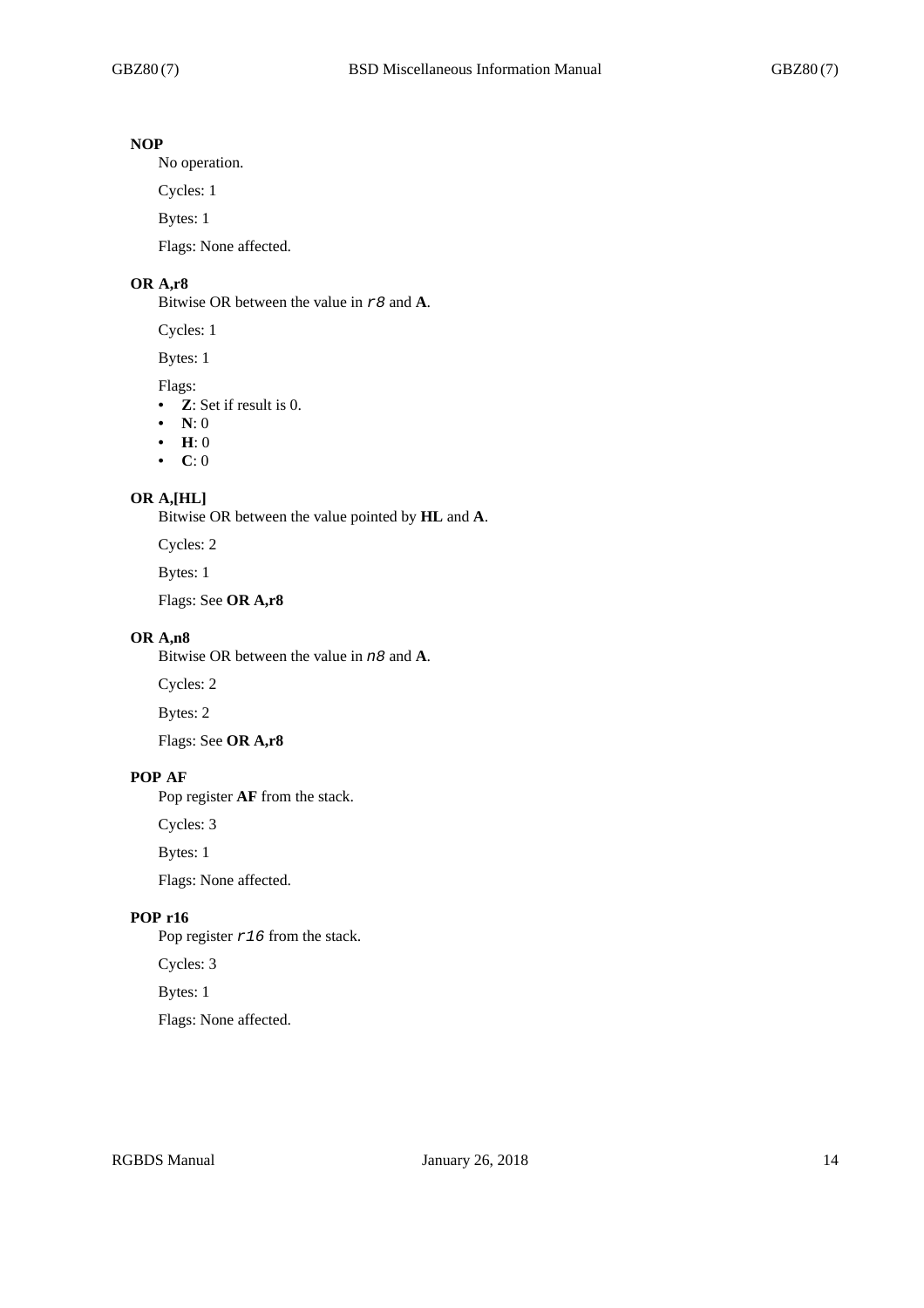# **NOP**

No operation.

Cycles: 1

Bytes: 1

Flags: None affected.

# **OR A,r8**

Bitwise OR between the value in *r8* and **A**.

Cycles: 1

Bytes: 1

## Flags:

- **Z**: Set if result is 0.
- **N**: 0
- **H**: 0
- **C**: 0

## **OR A,[HL]**

Bitwise OR between the value pointed by **HL** and **A**.

Cycles: 2

Bytes: 1

Flags: See **OR A,r8**

# **OR A,n8**

Bitwise OR between the value in *n8* and **A**.

Cycles: 2

Bytes: 2

Flags: See **OR A,r8**

## **POP AF**

Pop register **AF** from the stack.

Cycles: 3

Bytes: 1

Flags: None affected.

# **POP r16**

Pop register *r16* from the stack.

Cycles: 3

Bytes: 1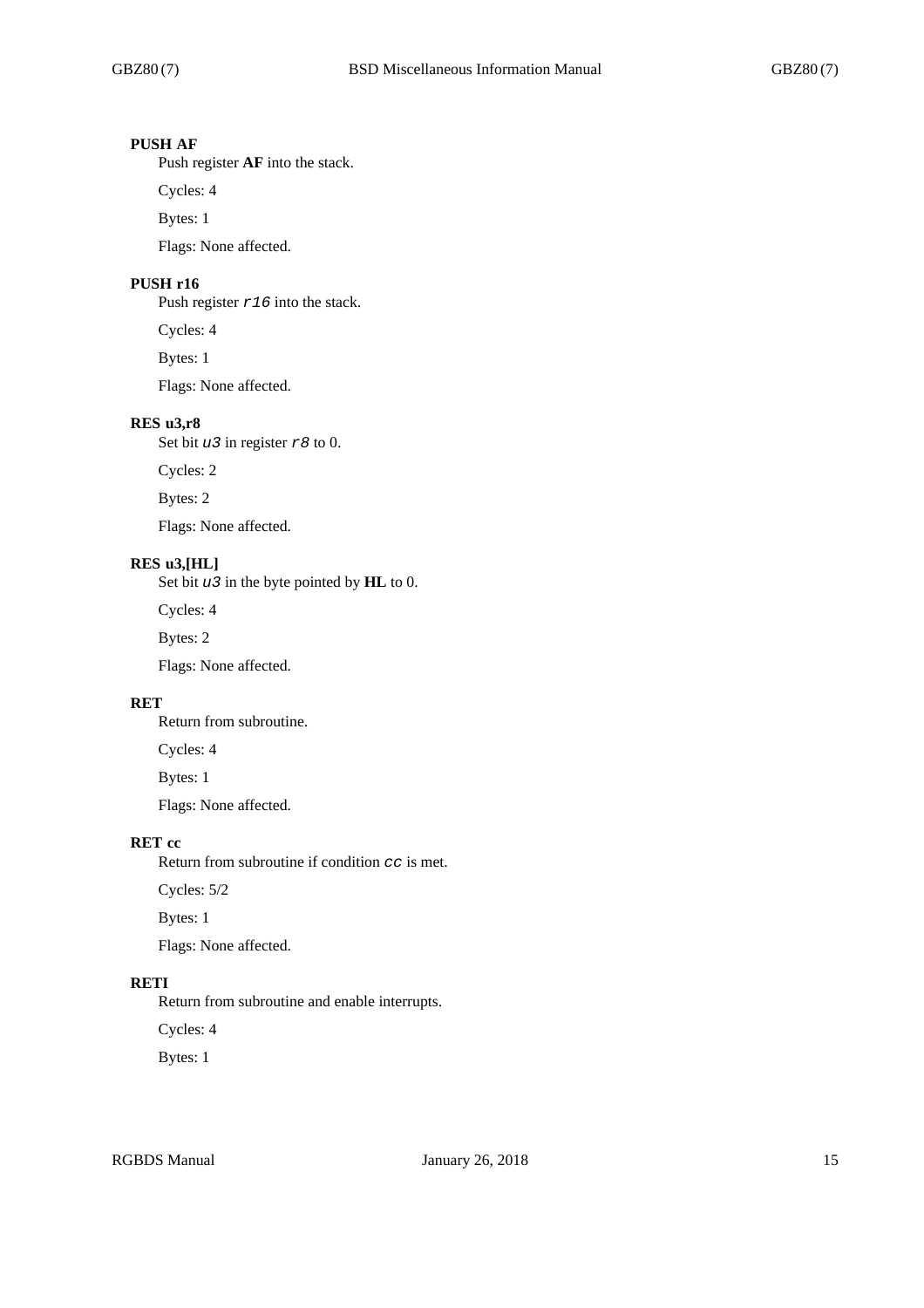# **PUSH AF**

Push register **AF** into the stack.

Cycles: 4

Bytes: 1

Flags: None affected.

# **PUSH r16**

Push register *r16* into the stack.

Cycles: 4

Bytes: 1

Flags: None affected.

## **RES u3,r8**

Set bit *u3* in register *r8* to 0.

Cycles: 2

Bytes: 2

Flags: None affected.

#### **RES u3,[HL]**

Set bit *u3* in the byte pointed by **HL** to 0.

Cycles: 4

Bytes: 2

Flags: None affected.

## **RET**

Return from subroutine.

Cycles: 4

Bytes: 1

Flags: None affected.

# **RET cc**

Return from subroutine if condition *cc* is met.

Cycles: 5/2

Bytes: 1

Flags: None affected.

## **RETI**

Return from subroutine and enable interrupts.

Cycles: 4

Bytes: 1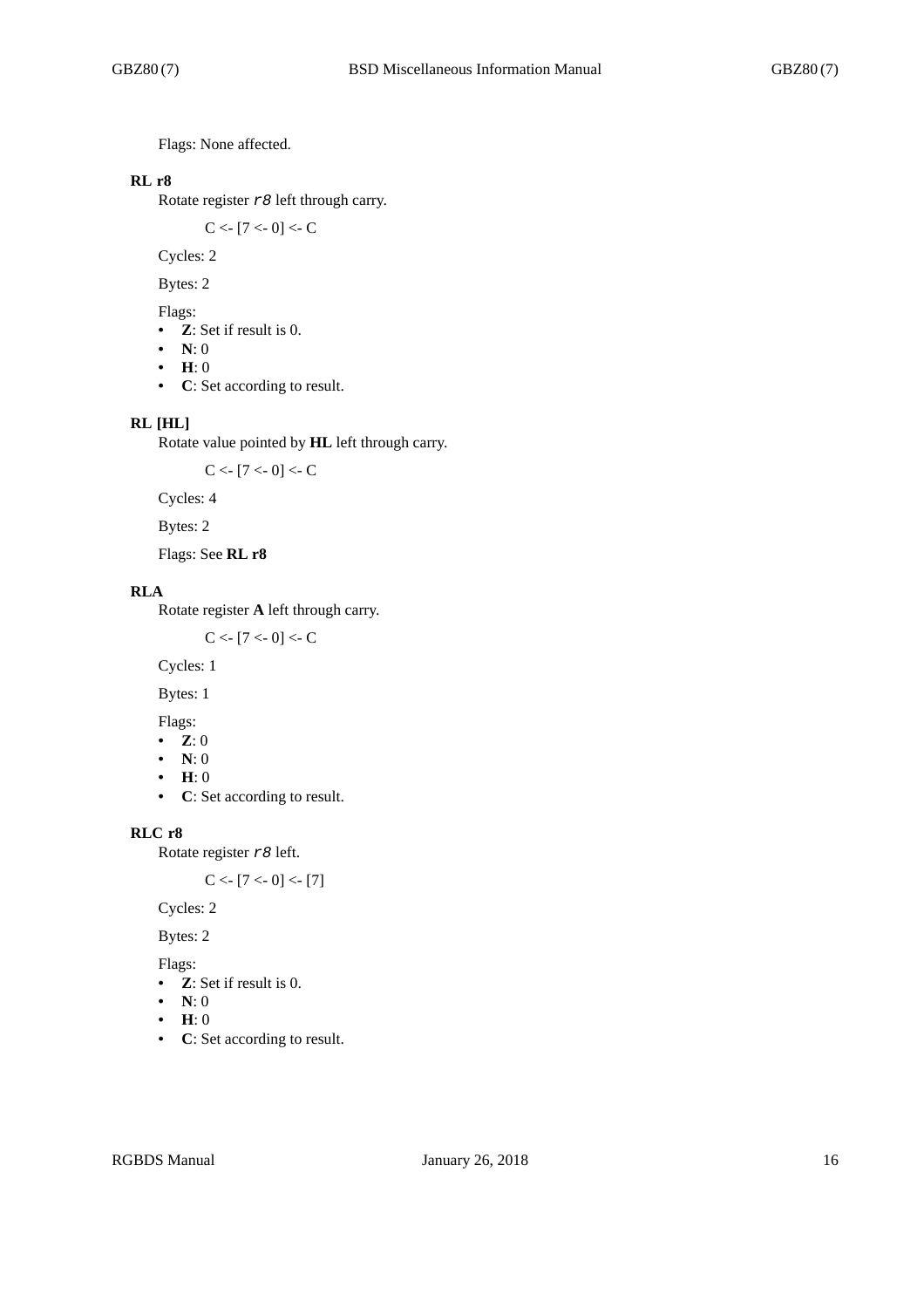Flags: None affected.

# **RL r8**

Rotate register *r8* left through carry.

 $C < [7 < 0] < C$ 

Cycles: 2

Bytes: 2

Flags:

- **Z**: Set if result is 0.
- **N**: 0
- **H**: 0
- **C**: Set according to result.

## **RL [HL]**

Rotate value pointed by **HL** left through carry.

 $C < [7 < 0] < C$ 

Cycles: 4

Bytes: 2

Flags: See **RL r8**

## **RLA**

Rotate register **A** left through carry.

 $C < [7 < 0] < C$ 

Cycles: 1

Bytes: 1

Flags:

- **Z**: 0
- **N**: 0
- **H**: 0
- **C**: Set according to result.

## **RLC r8**

Rotate register *r8* left.

 $C < [7 < 0] < [7]$ 

Cycles: 2

Bytes: 2

Flags:

- **Z**: Set if result is 0.
- **N**: 0
- **H**: 0
- **C**: Set according to result.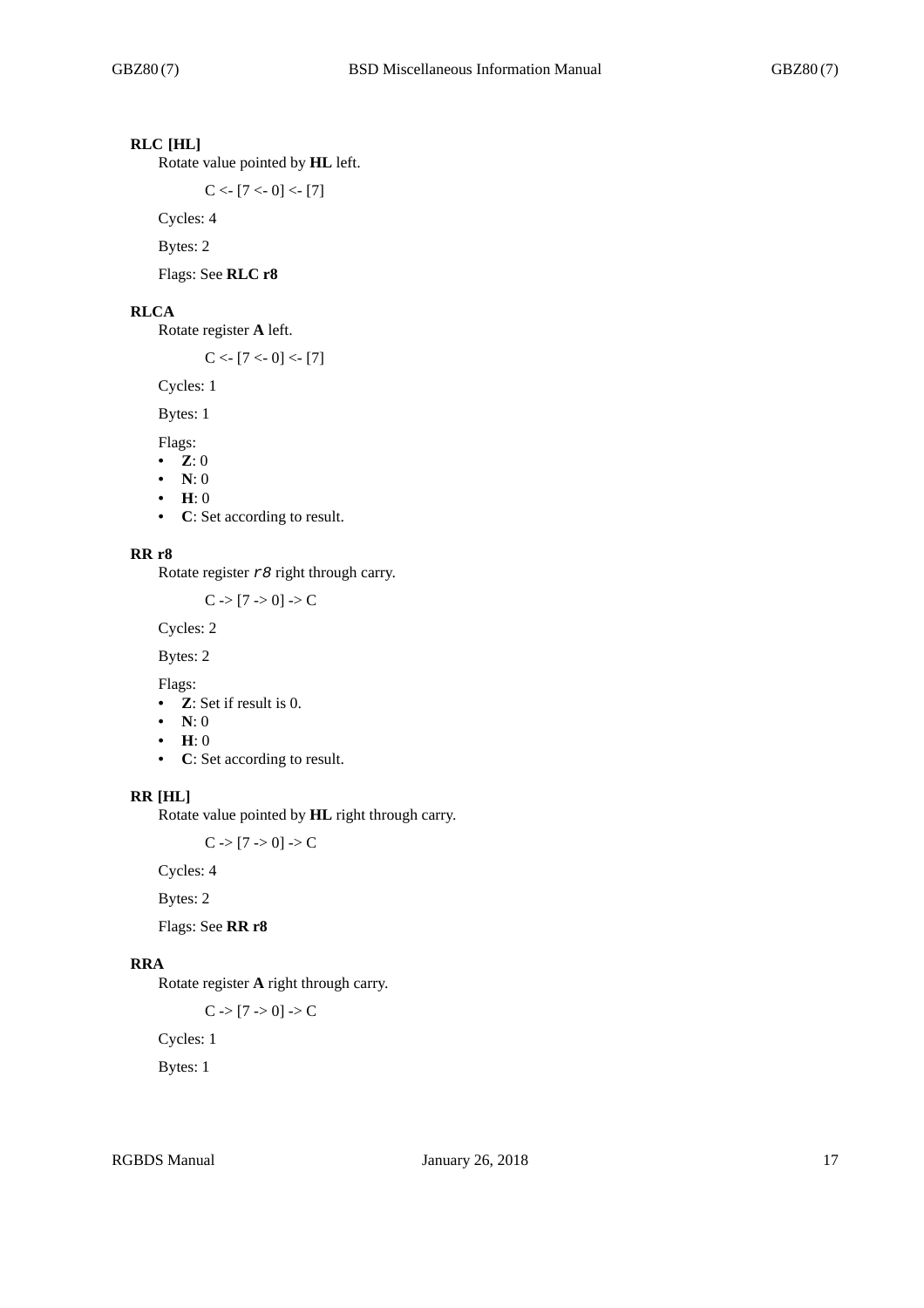# **RLC [HL]**

Rotate value pointed by **HL** left.

 $C < [7 < 0] < [7]$ 

Cycles: 4

Bytes: 2

Flags: See **RLC r8**

#### **RLCA**

Rotate register **A** left.

 $C < [7 < 0] < [7]$ 

Cycles: 1

Bytes: 1

Flags:

- **Z**: 0
- **N**: 0
- **H**: 0
- **C**: Set according to result.

#### **RR r8**

Rotate register *r8* right through carry.

 $C > [7 > 0] > C$ 

Cycles: 2

Bytes: 2

Flags:

- **Z**: Set if result is 0.
- **N**: 0
- **H**: 0
- **C**: Set according to result.

#### **RR [HL]**

Rotate value pointed by **HL** right through carry.

 $C \rightarrow [7 \rightarrow 0] \rightarrow C$ 

Cycles: 4

Bytes: 2

Flags: See **RR r8**

## **RRA**

Rotate register **A** right through carry.

 $C \rightarrow [7 \rightarrow 0] \rightarrow C$ 

Cycles: 1

Bytes: 1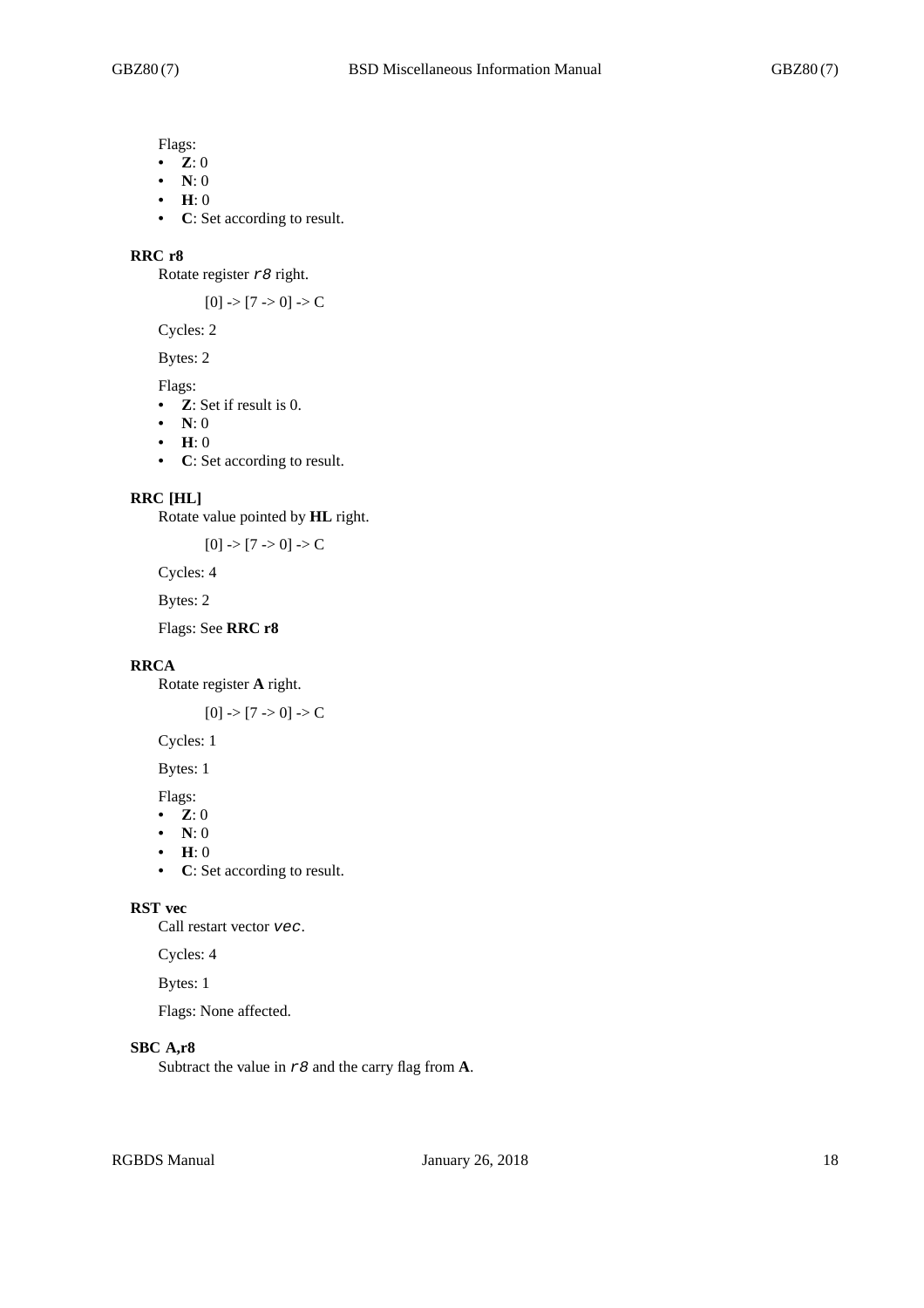Flags:

- **Z**: 0
- **N**: 0
- **H**: 0
- **C**: Set according to result.

#### **RRC r8**

Rotate register *r8* right.

 $[0]$  ->  $[7$  -> 0] -> C

Cycles: 2

Bytes: 2

- Flags:
- **Z**: Set if result is 0.
- **N**: 0
- **H**: 0
- **C**: Set according to result.

#### **RRC [HL]**

Rotate value pointed by **HL** right.

 $[0]$  ->  $[7$  -> 0] -> C

Cycles: 4

Bytes: 2

Flags: See **RRC r8**

# **RRCA**

Rotate register **A** right.

 $[0]$  ->  $[7$  -> 0] -> C

Cycles: 1

Bytes: 1

Flags:

- **Z**: 0
- **N**: 0
- **H**: 0
- **C**: Set according to result.

## **RST vec**

Call restart vector *vec*.

Cycles: 4

Bytes: 1

Flags: None affected.

# **SBC A,r8**

Subtract the value in *r8* and the carry flag from **A**.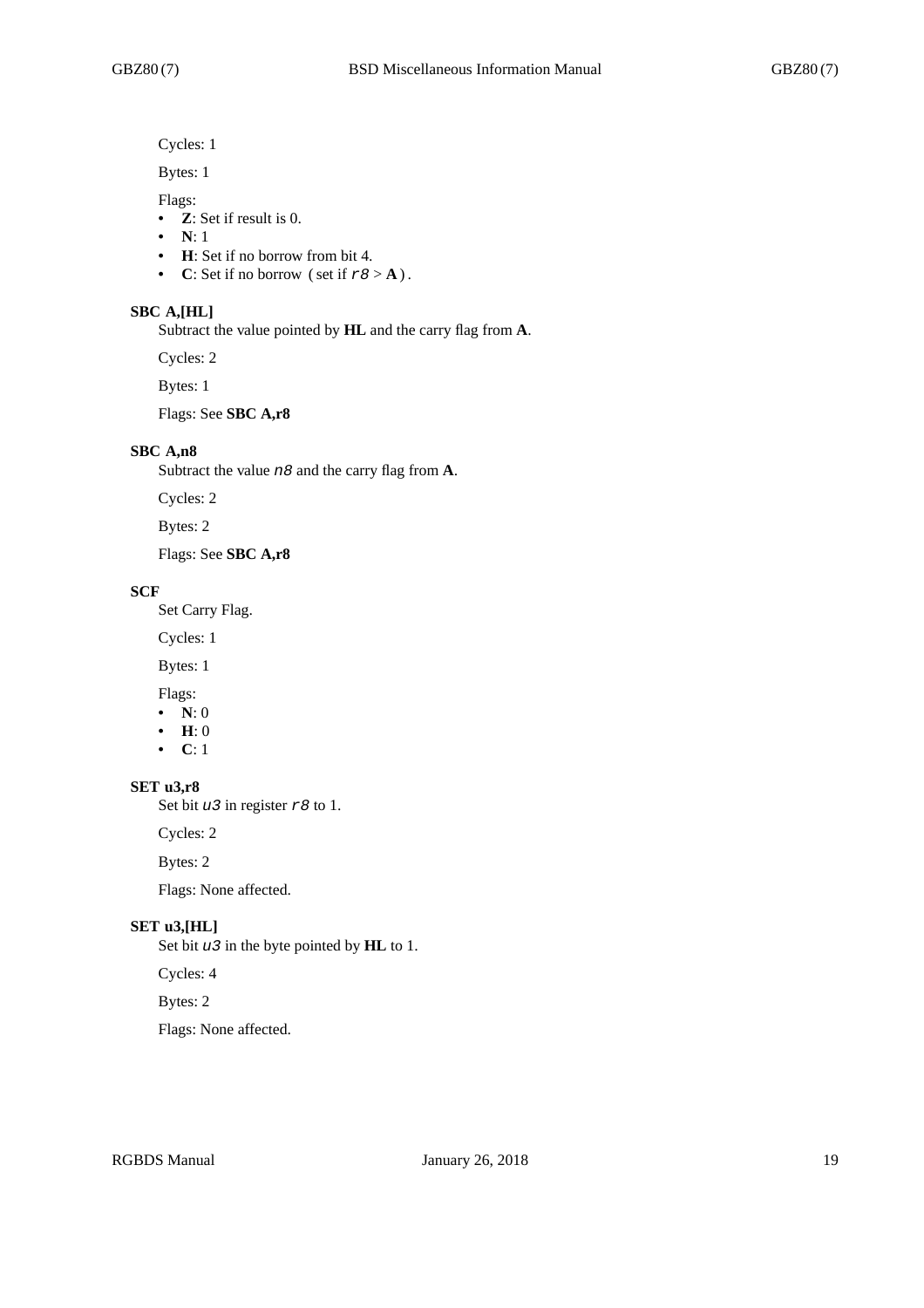Cycles: 1

Bytes: 1

Flags:

- **Z**: Set if result is 0.
- **N**: 1
- **H**: Set if no borrow from bit 4.
- **C**: Set if no borrow (set if  $r8 > A$ ).

#### **SBC A,[HL]**

Subtract the value pointed by **HL** and the carry flag from **A**.

Cycles: 2

Bytes: 1

Flags: See **SBC A,r8**

## **SBC A,n8**

Subtract the value *n8* and the carry flag from **A**.

Cycles: 2

Bytes: 2

Flags: See **SBC A,r8**

#### **SCF**

Set Carry Flag.

Cycles: 1

Bytes: 1

Flags:

- **N**: 0
- **H**: 0
- **C**: 1

## **SET u3,r8**

Set bit *u3* in register *r8* to 1.

Cycles: 2

Bytes: 2

Flags: None affected.

#### **SET u3,[HL]**

Set bit *u3* in the byte pointed by **HL** to 1.

#### Cycles: 4

Bytes: 2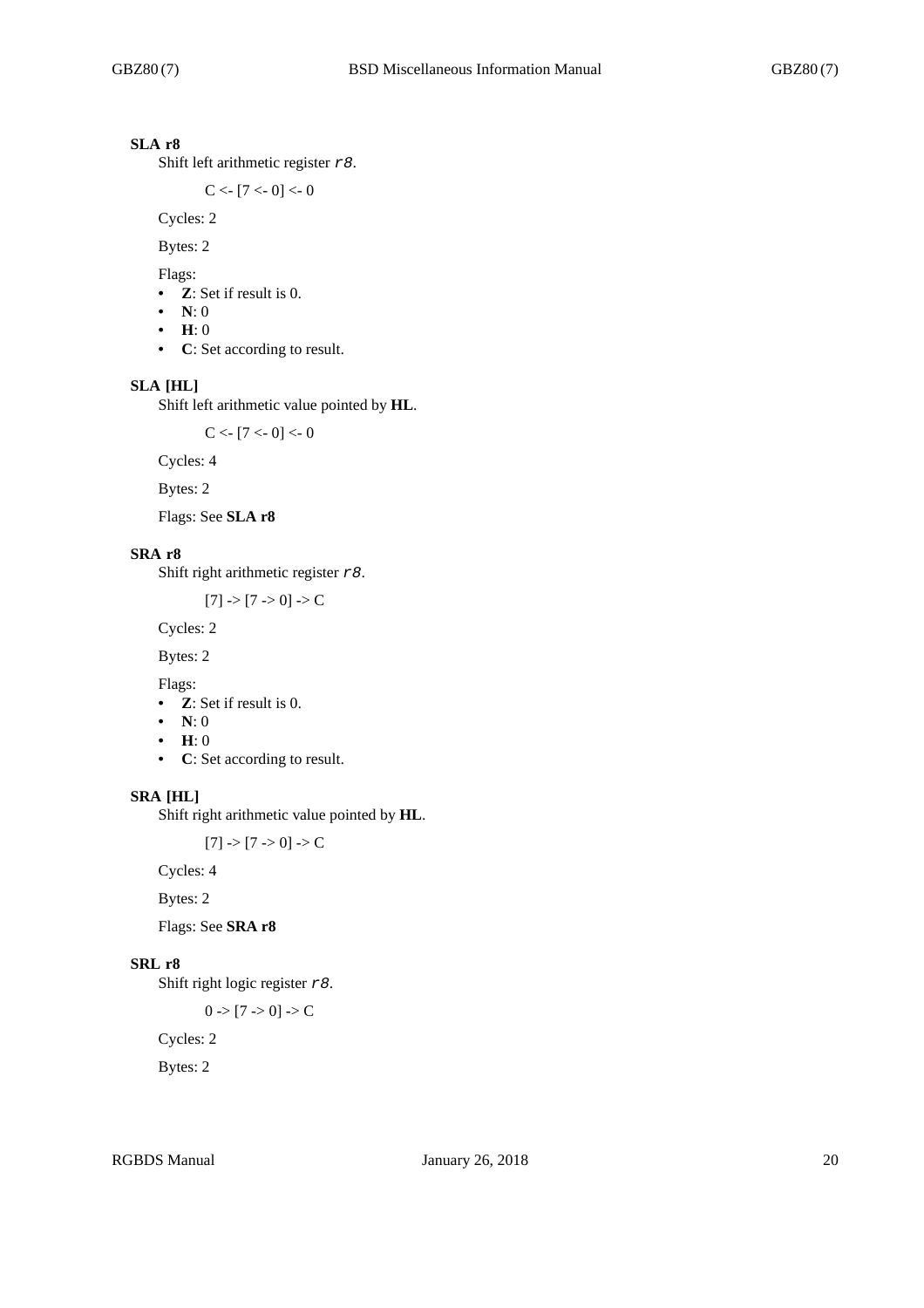# **SLA r8**

Shift left arithmetic register *r8*.

 $C < [7 < 0] < 0$ 

Cycles: 2

Bytes: 2

Flags:

- **Z**: Set if result is 0.
- **N**: 0
- **H**: 0
- **C**: Set according to result.

# **SLA [HL]**

Shift left arithmetic value pointed by **HL**.

 $C < [7 < 0] < 0$ 

Cycles: 4

Bytes: 2

Flags: See **SLA r8**

# **SRA r8**

Shift right arithmetic register *r8*.

 $[7]$  ->  $[7$  -> 0] -> C

Cycles: 2

Bytes: 2

Flags:

- **Z**: Set if result is 0.
- **N**: 0
- **H**: 0
- **C**: Set according to result.

#### **SRA [HL]**

Shift right arithmetic value pointed by **HL**.

 $[7]$  ->  $[7$  -> 0] -> C

Cycles: 4

Bytes: 2

Flags: See **SRA r8**

#### **SRL r8**

Shift right logic register *r8*.

$$
0 \Rightarrow [7 \Rightarrow 0] \Rightarrow C
$$

Cycles: 2

Bytes: 2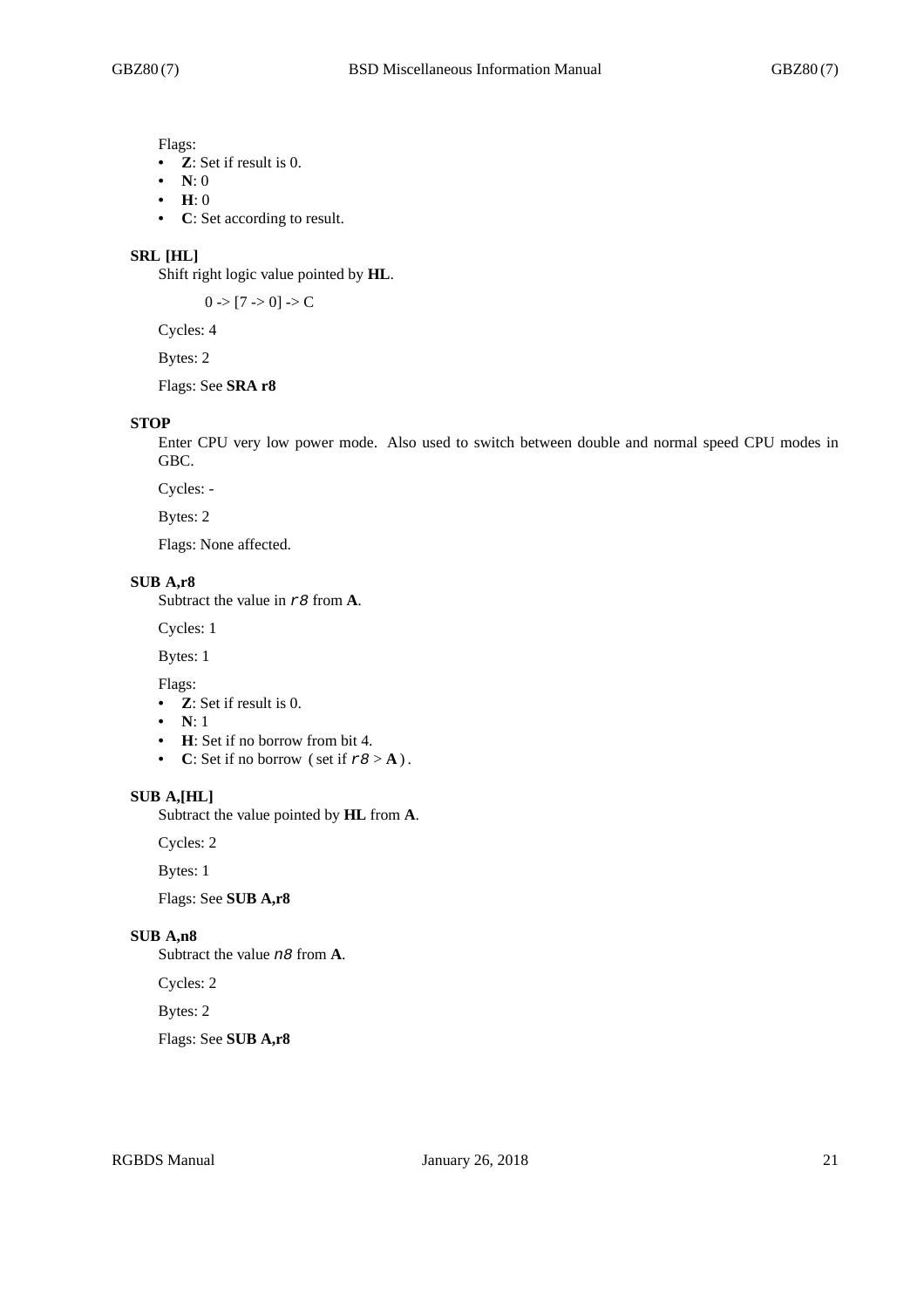Flags:

- **Z**: Set if result is 0.
- **N**: 0
- **H**: 0
- **C**: Set according to result.

#### **SRL [HL]**

Shift right logic value pointed by **HL**.

 $0 \rightarrow [7 \rightarrow 0] \rightarrow C$ 

Cycles: 4

Bytes: 2

# Flags: See **SRA r8**

#### **STOP**

Enter CPU very low power mode. Also used to switch between double and normal speed CPU modes in GBC.

Cycles: -

Bytes: 2

Flags: None affected.

#### **SUB A,r8**

Subtract the value in *r8* from **A**.

Cycles: 1

Bytes: 1

Flags:

- **Z**: Set if result is 0.
- **N**: 1
- **H**: Set if no borrow from bit 4.
- **C**: Set if no borrow (set if  $r8 > A$ ).

#### **SUB A,[HL]**

Subtract the value pointed by **HL** from **A**.

Cycles: 2

Bytes: 1

Flags: See **SUB A,r8**

#### **SUB A,n8**

Subtract the value *n8* from **A**.

Cycles: 2

Bytes: 2

Flags: See **SUB A,r8**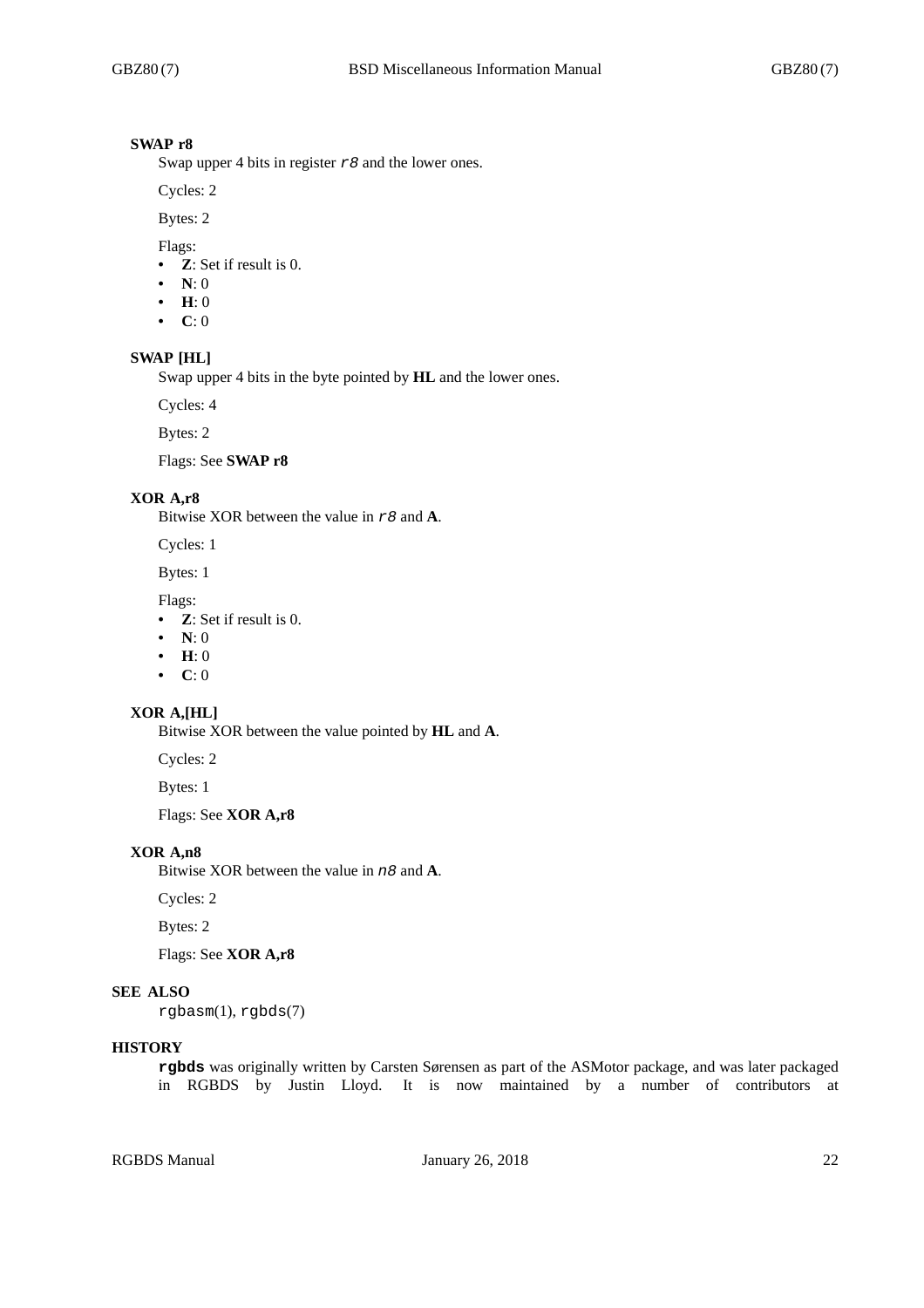#### **SWAP r8**

Swap upper 4 bits in register *r8* and the lower ones.

Cycles: 2

Bytes: 2

Flags:

- **Z**: Set if result is 0.
- **N**: 0
- **H**: 0
- **C**: 0

#### **SWAP [HL]**

Swap upper 4 bits in the byte pointed by **HL** and the lower ones.

Cycles: 4

Bytes: 2

Flags: See **SWAP r8**

## **XOR A,r8**

Bitwise XOR between the value in *r8* and **A**.

Cycles: 1

Bytes: 1

Flags:

- **Z**: Set if result is 0.
- **N**: 0
- **H**: 0
- **C**: 0

# **XOR A,[HL]**

Bitwise XOR between the value pointed by **HL** and **A**.

Cycles: 2

Bytes: 1

Flags: See **XOR A,r8**

# **XOR A,n8**

Bitwise XOR between the value in *n8* and **A**.

Cycles: 2

Bytes: 2

Flags: See **XOR A,r8**

## **SEE ALSO**

rgbasm(1), rgbds(7)

# **HISTORY**

**rgbds** was originally written by Carsten Sørensen as part of the ASMotor package, and was later packaged in RGBDS by Justin Lloyd. It is now maintained by a number of contributors at